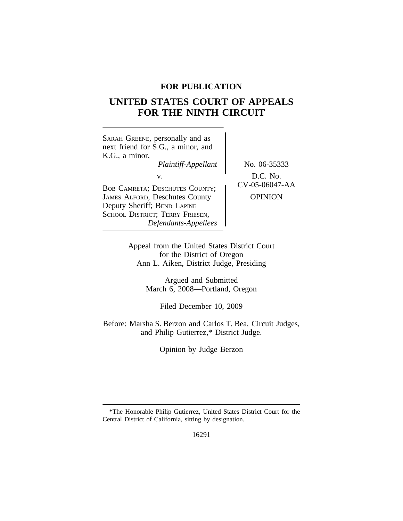# **FOR PUBLICATION**

# **UNITED STATES COURT OF APPEALS FOR THE NINTH CIRCUIT**

| SARAH GREENE, personally and as<br>next friend for S.G., a minor, and<br>K.G., a minor,<br>Plaintiff-Appellant                                                                 | No. 06-35333                                 |
|--------------------------------------------------------------------------------------------------------------------------------------------------------------------------------|----------------------------------------------|
| V.<br><b>BOB CAMRETA; DESCHUTES COUNTY;</b><br><b>JAMES ALFORD, Deschutes County</b><br>Deputy Sheriff; BEND LAPINE<br>SCHOOL DISTRICT; TERRY FRIESEN,<br>Defendants-Appellees | D.C. No.<br>CV-05-06047-AA<br><b>OPINION</b> |

Appeal from the United States District Court for the District of Oregon Ann L. Aiken, District Judge, Presiding

> Argued and Submitted March 6, 2008—Portland, Oregon

> > Filed December 10, 2009

Before: Marsha S. Berzon and Carlos T. Bea, Circuit Judges, and Philip Gutierrez,\* District Judge.

Opinion by Judge Berzon

<sup>\*</sup>The Honorable Philip Gutierrez, United States District Court for the Central District of California, sitting by designation.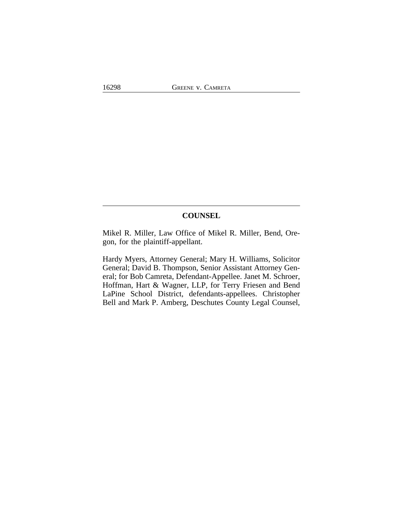## **COUNSEL**

Mikel R. Miller, Law Office of Mikel R. Miller, Bend, Oregon, for the plaintiff-appellant.

Hardy Myers, Attorney General; Mary H. Williams, Solicitor General; David B. Thompson, Senior Assistant Attorney General; for Bob Camreta, Defendant-Appellee. Janet M. Schroer, Hoffman, Hart & Wagner, LLP, for Terry Friesen and Bend LaPine School District, defendants-appellees. Christopher Bell and Mark P. Amberg, Deschutes County Legal Counsel,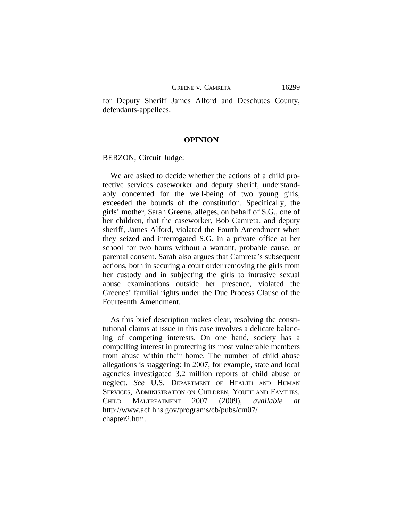for Deputy Sheriff James Alford and Deschutes County, defendants-appellees.

#### **OPINION**

BERZON, Circuit Judge:

We are asked to decide whether the actions of a child protective services caseworker and deputy sheriff, understandably concerned for the well-being of two young girls, exceeded the bounds of the constitution. Specifically, the girls' mother, Sarah Greene, alleges, on behalf of S.G., one of her children, that the caseworker, Bob Camreta, and deputy sheriff, James Alford, violated the Fourth Amendment when they seized and interrogated S.G. in a private office at her school for two hours without a warrant, probable cause, or parental consent. Sarah also argues that Camreta's subsequent actions, both in securing a court order removing the girls from her custody and in subjecting the girls to intrusive sexual abuse examinations outside her presence, violated the Greenes' familial rights under the Due Process Clause of the Fourteenth Amendment.

As this brief description makes clear, resolving the constitutional claims at issue in this case involves a delicate balancing of competing interests. On one hand, society has a compelling interest in protecting its most vulnerable members from abuse within their home. The number of child abuse allegations is staggering: In 2007, for example, state and local agencies investigated 3.2 million reports of child abuse or neglect. *See* U.S. DEPARTMENT OF HEALTH AND HUMAN SERVICES, ADMINISTRATION ON CHILDREN, YOUTH AND FAMILIES. CHILD MALTREATMENT 2007 (2009), *available at* http://www.acf.hhs.gov/programs/cb/pubs/cm07/ chapter2.htm.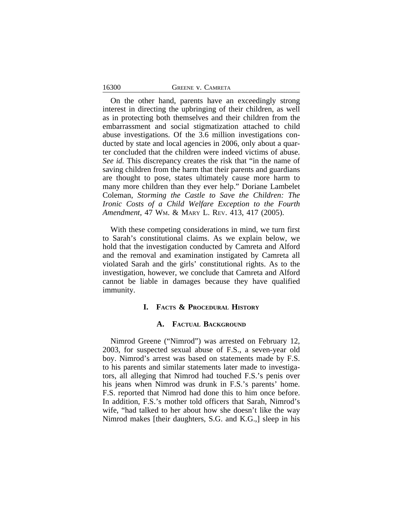16300

On the other hand, parents have an exceedingly strong interest in directing the upbringing of their children, as well as in protecting both themselves and their children from the embarrassment and social stigmatization attached to child abuse investigations. Of the 3.6 million investigations conducted by state and local agencies in 2006, only about a quarter concluded that the children were indeed victims of abuse. *See id.* This discrepancy creates the risk that "in the name of saving children from the harm that their parents and guardians are thought to pose, states ultimately cause more harm to many more children than they ever help." Doriane Lambelet Coleman, *Storming the Castle to Save the Children: The Ironic Costs of a Child Welfare Exception to the Fourth Amendment*, 47 WM. & MARY L. REV. 413, 417 (2005).

With these competing considerations in mind, we turn first to Sarah's constitutional claims. As we explain below, we hold that the investigation conducted by Camreta and Alford and the removal and examination instigated by Camreta all violated Sarah and the girls' constitutional rights. As to the investigation, however, we conclude that Camreta and Alford cannot be liable in damages because they have qualified immunity.

#### **I. FACTS & PROCEDURAL HISTORY**

#### **A. FACTUAL BACKGROUND**

Nimrod Greene ("Nimrod") was arrested on February 12, 2003, for suspected sexual abuse of F.S., a seven-year old boy. Nimrod's arrest was based on statements made by F.S. to his parents and similar statements later made to investigators, all alleging that Nimrod had touched F.S.'s penis over his jeans when Nimrod was drunk in F.S.'s parents' home. F.S. reported that Nimrod had done this to him once before. In addition, F.S.'s mother told officers that Sarah, Nimrod's wife, "had talked to her about how she doesn't like the way Nimrod makes [their daughters, S.G. and K.G.,] sleep in his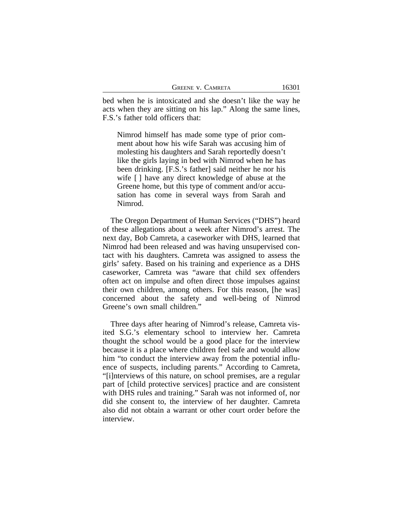| <b>GREENE V. CAMRETA</b> |  |
|--------------------------|--|
|--------------------------|--|

bed when he is intoxicated and she doesn't like the way he acts when they are sitting on his lap." Along the same lines, F.S.'s father told officers that:

Nimrod himself has made some type of prior comment about how his wife Sarah was accusing him of molesting his daughters and Sarah reportedly doesn't like the girls laying in bed with Nimrod when he has been drinking. [F.S.'s father] said neither he nor his wife  $\lceil \cdot \rceil$  have any direct knowledge of abuse at the Greene home, but this type of comment and/or accusation has come in several ways from Sarah and Nimrod.

The Oregon Department of Human Services ("DHS") heard of these allegations about a week after Nimrod's arrest. The next day, Bob Camreta, a caseworker with DHS, learned that Nimrod had been released and was having unsupervised contact with his daughters. Camreta was assigned to assess the girls' safety. Based on his training and experience as a DHS caseworker, Camreta was "aware that child sex offenders often act on impulse and often direct those impulses against their own children, among others. For this reason, [he was] concerned about the safety and well-being of Nimrod Greene's own small children."

Three days after hearing of Nimrod's release, Camreta visited S.G.'s elementary school to interview her. Camreta thought the school would be a good place for the interview because it is a place where children feel safe and would allow him "to conduct the interview away from the potential influence of suspects, including parents." According to Camreta, "[i]nterviews of this nature, on school premises, are a regular part of [child protective services] practice and are consistent with DHS rules and training." Sarah was not informed of, nor did she consent to, the interview of her daughter. Camreta also did not obtain a warrant or other court order before the interview.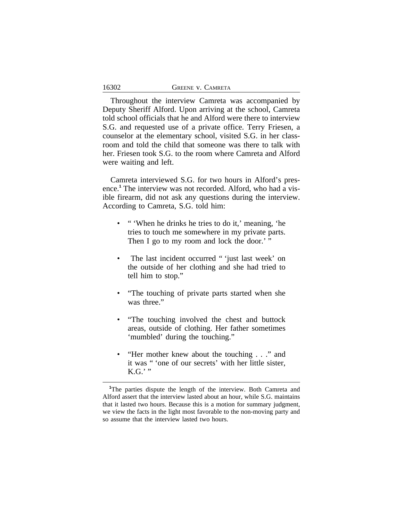Throughout the interview Camreta was accompanied by Deputy Sheriff Alford. Upon arriving at the school, Camreta told school officials that he and Alford were there to interview S.G. and requested use of a private office. Terry Friesen, a counselor at the elementary school, visited S.G. in her classroom and told the child that someone was there to talk with her. Friesen took S.G. to the room where Camreta and Alford were waiting and left.

Camreta interviewed S.G. for two hours in Alford's presence.**<sup>1</sup>** The interview was not recorded. Alford, who had a visible firearm, did not ask any questions during the interview. According to Camreta, S.G. told him:

- " 'When he drinks he tries to do it,' meaning, 'he tries to touch me somewhere in my private parts. Then I go to my room and lock the door.' "
- The last incident occurred " 'just last week' on the outside of her clothing and she had tried to tell him to stop."
- "The touching of private parts started when she was three."
- "The touching involved the chest and buttock areas, outside of clothing. Her father sometimes 'mumbled' during the touching."
- "Her mother knew about the touching . . ." and it was " 'one of our secrets' with her little sister,  $K.G.'''$

**<sup>1</sup>**The parties dispute the length of the interview. Both Camreta and Alford assert that the interview lasted about an hour, while S.G. maintains that it lasted two hours. Because this is a motion for summary judgment, we view the facts in the light most favorable to the non-moving party and so assume that the interview lasted two hours.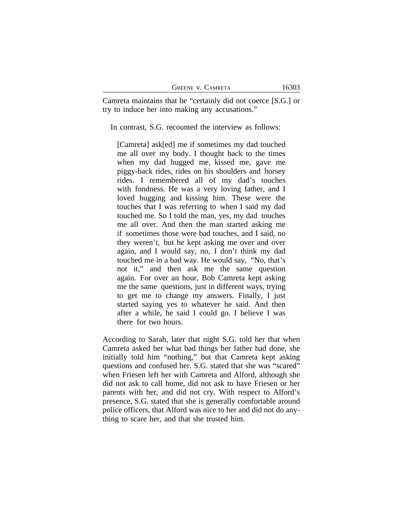| <b>GREENE V. CAMRETA</b> |  |
|--------------------------|--|
|--------------------------|--|

Camreta maintains that he "certainly did not coerce [S.G.] or try to induce her into making any accusations."

In contrast, S.G. recounted the interview as follows:

[Camreta] ask[ed] me if sometimes my dad touched me all over my body. I thought back to the times when my dad hugged me, kissed me, gave me piggy-back rides, rides on his shoulders and horsey rides. I remembered all of my dad's touches with fondness. He was a very loving father, and I loved hugging and kissing him. These were the touches that I was referring to when I said my dad touched me. So I told the man, yes, my dad touches me all over. And then the man started asking me if sometimes those were bad touches, and I said, no they weren't, but he kept asking me over and over again, and I would say, no, I don't think my dad touched me in a bad way. He would say, "No, that's not it," and then ask me the same question again. For over an hour, Bob Camreta kept asking me the same questions, just in different ways, trying to get me to change my answers. Finally, I just started saying yes to whatever he said. And then after a while, he said I could go. I believe I was there for two hours.

According to Sarah, later that night S.G. told her that when Camreta asked her what bad things her father had done, she initially told him "nothing," but that Camreta kept asking questions and confused her. S.G. stated that she was "scared" when Friesen left her with Camreta and Alford, although she did not ask to call home, did not ask to have Friesen or her parents with her, and did not cry. With respect to Alford's presence, S.G. stated that she is generally comfortable around police officers, that Alford was nice to her and did not do anything to scare her, and that she trusted him.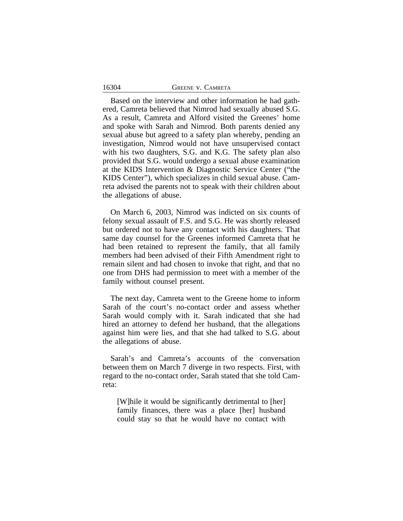|  |  | <b>GREENE V. CAMRETA</b> |
|--|--|--------------------------|
|--|--|--------------------------|

16304

Based on the interview and other information he had gathered, Camreta believed that Nimrod had sexually abused S.G. As a result, Camreta and Alford visited the Greenes' home and spoke with Sarah and Nimrod. Both parents denied any sexual abuse but agreed to a safety plan whereby, pending an investigation, Nimrod would not have unsupervised contact with his two daughters, S.G. and K.G. The safety plan also provided that S.G. would undergo a sexual abuse examination at the KIDS Intervention & Diagnostic Service Center ("the KIDS Center"), which specializes in child sexual abuse. Camreta advised the parents not to speak with their children about the allegations of abuse.

On March 6, 2003, Nimrod was indicted on six counts of felony sexual assault of F.S. and S.G. He was shortly released but ordered not to have any contact with his daughters. That same day counsel for the Greenes informed Camreta that he had been retained to represent the family, that all family members had been advised of their Fifth Amendment right to remain silent and had chosen to invoke that right, and that no one from DHS had permission to meet with a member of the family without counsel present.

The next day, Camreta went to the Greene home to inform Sarah of the court's no-contact order and assess whether Sarah would comply with it. Sarah indicated that she had hired an attorney to defend her husband, that the allegations against him were lies, and that she had talked to S.G. about the allegations of abuse.

Sarah's and Camreta's accounts of the conversation between them on March 7 diverge in two respects. First, with regard to the no-contact order, Sarah stated that she told Camreta:

[W]hile it would be significantly detrimental to [her] family finances, there was a place [her] husband could stay so that he would have no contact with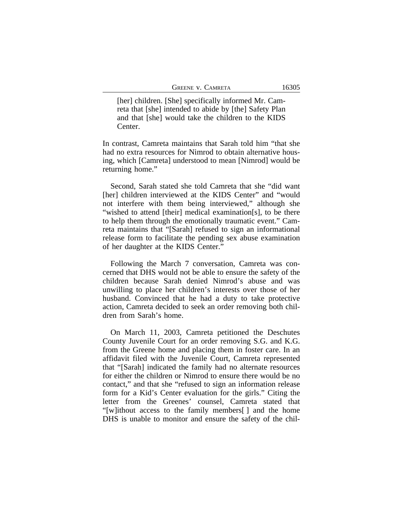[her] children. [She] specifically informed Mr. Camreta that [she] intended to abide by [the] Safety Plan and that [she] would take the children to the KIDS Center.

In contrast, Camreta maintains that Sarah told him "that she had no extra resources for Nimrod to obtain alternative housing, which [Camreta] understood to mean [Nimrod] would be returning home."

Second, Sarah stated she told Camreta that she "did want [her] children interviewed at the KIDS Center" and "would not interfere with them being interviewed," although she "wished to attend [their] medical examination[s], to be there to help them through the emotionally traumatic event." Camreta maintains that "[Sarah] refused to sign an informational release form to facilitate the pending sex abuse examination of her daughter at the KIDS Center."

Following the March 7 conversation, Camreta was concerned that DHS would not be able to ensure the safety of the children because Sarah denied Nimrod's abuse and was unwilling to place her children's interests over those of her husband. Convinced that he had a duty to take protective action, Camreta decided to seek an order removing both children from Sarah's home.

On March 11, 2003, Camreta petitioned the Deschutes County Juvenile Court for an order removing S.G. and K.G. from the Greene home and placing them in foster care. In an affidavit filed with the Juvenile Court, Camreta represented that "[Sarah] indicated the family had no alternate resources for either the children or Nimrod to ensure there would be no contact," and that she "refused to sign an information release form for a Kid's Center evaluation for the girls." Citing the letter from the Greenes' counsel, Camreta stated that "[w]ithout access to the family members[ ] and the home DHS is unable to monitor and ensure the safety of the chil-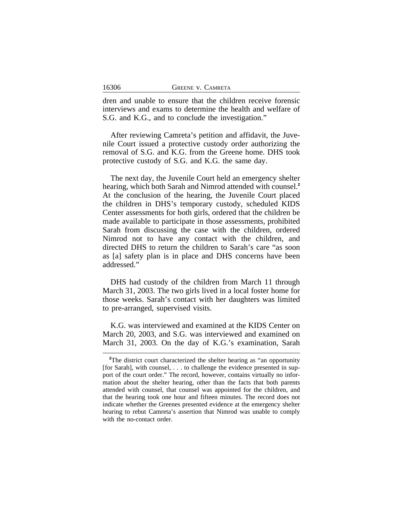dren and unable to ensure that the children receive forensic interviews and exams to determine the health and welfare of S.G. and K.G., and to conclude the investigation."

After reviewing Camreta's petition and affidavit, the Juvenile Court issued a protective custody order authorizing the removal of S.G. and K.G. from the Greene home. DHS took protective custody of S.G. and K.G. the same day.

The next day, the Juvenile Court held an emergency shelter hearing, which both Sarah and Nimrod attended with counsel.**<sup>2</sup>** At the conclusion of the hearing, the Juvenile Court placed the children in DHS's temporary custody, scheduled KIDS Center assessments for both girls, ordered that the children be made available to participate in those assessments, prohibited Sarah from discussing the case with the children, ordered Nimrod not to have any contact with the children, and directed DHS to return the children to Sarah's care "as soon as [a] safety plan is in place and DHS concerns have been addressed."

DHS had custody of the children from March 11 through March 31, 2003. The two girls lived in a local foster home for those weeks. Sarah's contact with her daughters was limited to pre-arranged, supervised visits.

K.G. was interviewed and examined at the KIDS Center on March 20, 2003, and S.G. was interviewed and examined on March 31, 2003. On the day of K.G.'s examination, Sarah

<sup>&</sup>lt;sup>2</sup>The district court characterized the shelter hearing as "an opportunity" [for Sarah], with counsel, . . . to challenge the evidence presented in support of the court order." The record, however, contains virtually no information about the shelter hearing, other than the facts that both parents attended with counsel, that counsel was appointed for the children, and that the hearing took one hour and fifteen minutes. The record does not indicate whether the Greenes presented evidence at the emergency shelter hearing to rebut Camreta's assertion that Nimrod was unable to comply with the no-contact order.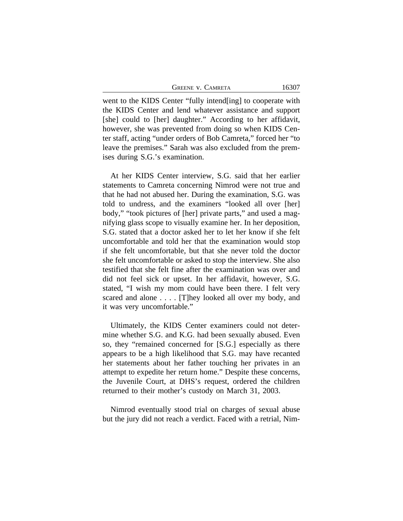GREENE V. CAMRETA 16307

went to the KIDS Center "fully intend[ing] to cooperate with the KIDS Center and lend whatever assistance and support [she] could to [her] daughter." According to her affidavit, however, she was prevented from doing so when KIDS Center staff, acting "under orders of Bob Camreta," forced her "to leave the premises." Sarah was also excluded from the premises during S.G.'s examination.

At her KIDS Center interview, S.G. said that her earlier statements to Camreta concerning Nimrod were not true and that he had not abused her. During the examination, S.G. was told to undress, and the examiners "looked all over [her] body," "took pictures of [her] private parts," and used a magnifying glass scope to visually examine her. In her deposition, S.G. stated that a doctor asked her to let her know if she felt uncomfortable and told her that the examination would stop if she felt uncomfortable, but that she never told the doctor she felt uncomfortable or asked to stop the interview. She also testified that she felt fine after the examination was over and did not feel sick or upset. In her affidavit, however, S.G. stated, "I wish my mom could have been there. I felt very scared and alone . . . . [T]hey looked all over my body, and it was very uncomfortable."

Ultimately, the KIDS Center examiners could not determine whether S.G. and K.G. had been sexually abused. Even so, they "remained concerned for [S.G.] especially as there appears to be a high likelihood that S.G. may have recanted her statements about her father touching her privates in an attempt to expedite her return home." Despite these concerns, the Juvenile Court, at DHS's request, ordered the children returned to their mother's custody on March 31, 2003.

Nimrod eventually stood trial on charges of sexual abuse but the jury did not reach a verdict. Faced with a retrial, Nim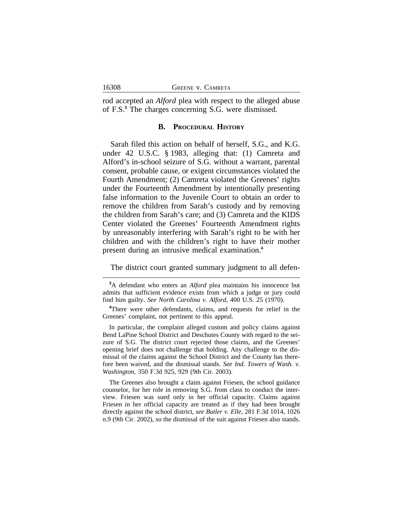rod accepted an *Alford* plea with respect to the alleged abuse of F.S.**<sup>3</sup>** The charges concerning S.G. were dismissed.

#### **B. PROCEDURAL HISTORY**

Sarah filed this action on behalf of herself, S.G., and K.G. under 42 U.S.C. § 1983, alleging that: (1) Camreta and Alford's in-school seizure of S.G. without a warrant, parental consent, probable cause, or exigent circumstances violated the Fourth Amendment; (2) Camreta violated the Greenes' rights under the Fourteenth Amendment by intentionally presenting false information to the Juvenile Court to obtain an order to remove the children from Sarah's custody and by removing the children from Sarah's care; and (3) Camreta and the KIDS Center violated the Greenes' Fourteenth Amendment rights by unreasonably interfering with Sarah's right to be with her children and with the children's right to have their mother present during an intrusive medical examination.**<sup>4</sup>**

The district court granted summary judgment to all defen-

The Greenes also brought a claim against Friesen, the school guidance counselor, for her role in removing S.G. from class to conduct the interview. Friesen was sued only in her official capacity. Claims against Friesen in her official capacity are treated as if they had been brought directly against the school district, *see Butler v. Elle*, 281 F.3d 1014, 1026 n.9 (9th Cir. 2002), so the dismissal of the suit against Friesen also stands.

**<sup>3</sup>**A defendant who enters an *Alford* plea maintains his innocence but admits that sufficient evidence exists from which a judge or jury could find him guilty. *See North Carolina v. Alford*, 400 U.S. 25 (1970).

**<sup>4</sup>**There were other defendants, claims, and requests for relief in the Greenes' complaint, not pertinent to this appeal.

In particular, the complaint alleged custom and policy claims against Bend LaPine School District and Deschutes County with regard to the seizure of S.G. The district court rejected those claims, and the Greenes' opening brief does not challenge that holding. Any challenge to the dismissal of the claims against the School District and the County has therefore been waived, and the dismissal stands. *See Ind. Towers of Wash. v. Washington*, 350 F.3d 925, 929 (9th Cir. 2003).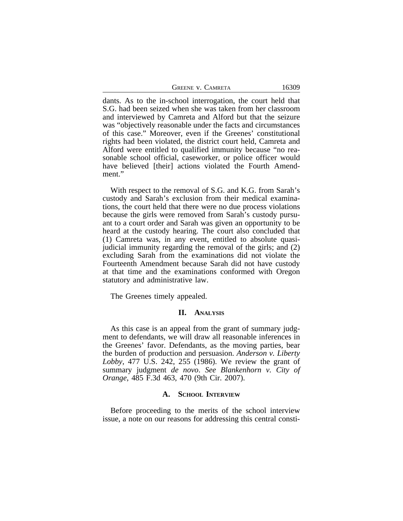| <b>GREENE V. CAMRETA</b> | 16309 |
|--------------------------|-------|
|--------------------------|-------|

dants. As to the in-school interrogation, the court held that S.G. had been seized when she was taken from her classroom and interviewed by Camreta and Alford but that the seizure was "objectively reasonable under the facts and circumstances of this case." Moreover, even if the Greenes' constitutional rights had been violated, the district court held, Camreta and Alford were entitled to qualified immunity because "no reasonable school official, caseworker, or police officer would have believed [their] actions violated the Fourth Amendment."

With respect to the removal of S.G. and K.G. from Sarah's custody and Sarah's exclusion from their medical examinations, the court held that there were no due process violations because the girls were removed from Sarah's custody pursuant to a court order and Sarah was given an opportunity to be heard at the custody hearing. The court also concluded that (1) Camreta was, in any event, entitled to absolute quasijudicial immunity regarding the removal of the girls; and (2) excluding Sarah from the examinations did not violate the Fourteenth Amendment because Sarah did not have custody at that time and the examinations conformed with Oregon statutory and administrative law.

The Greenes timely appealed.

## **II. ANALYSIS**

As this case is an appeal from the grant of summary judgment to defendants, we will draw all reasonable inferences in the Greenes' favor. Defendants, as the moving parties, bear the burden of production and persuasion. *Anderson v. Liberty Lobby*, 477 U.S. 242, 255 (1986). We review the grant of summary judgment *de novo*. *See Blankenhorn v. City of Orange*, 485 F.3d 463, 470 (9th Cir. 2007).

#### **A. SCHOOL INTERVIEW**

Before proceeding to the merits of the school interview issue, a note on our reasons for addressing this central consti-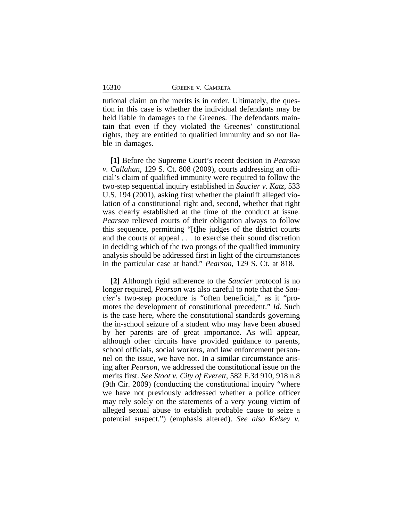| GREENE V. CAMRETA |  |
|-------------------|--|
|-------------------|--|

16310

tutional claim on the merits is in order. Ultimately, the question in this case is whether the individual defendants may be held liable in damages to the Greenes. The defendants maintain that even if they violated the Greenes' constitutional rights, they are entitled to qualified immunity and so not liable in damages.

**[1]** Before the Supreme Court's recent decision in *Pearson v. Callahan*, 129 S. Ct. 808 (2009), courts addressing an official's claim of qualified immunity were required to follow the two-step sequential inquiry established in *Saucier v. Katz,* 533 U.S. 194 (2001), asking first whether the plaintiff alleged violation of a constitutional right and, second, whether that right was clearly established at the time of the conduct at issue. *Pearson* relieved courts of their obligation always to follow this sequence, permitting "[t]he judges of the district courts and the courts of appeal . . . to exercise their sound discretion in deciding which of the two prongs of the qualified immunity analysis should be addressed first in light of the circumstances in the particular case at hand." *Pearson*, 129 S. Ct. at 818.

**[2]** Although rigid adherence to the *Saucier* protocol is no longer required, *Pearson* was also careful to note that the *Saucier*'s two-step procedure is "often beneficial," as it "promotes the development of constitutional precedent." *Id.* Such is the case here, where the constitutional standards governing the in-school seizure of a student who may have been abused by her parents are of great importance. As will appear, although other circuits have provided guidance to parents, school officials, social workers, and law enforcement personnel on the issue, we have not. In a similar circumstance arising after *Pearson*, we addressed the constitutional issue on the merits first. *See Stoot v. City of Everett*, 582 F.3d 910, 918 n.8 (9th Cir. 2009) (conducting the constitutional inquiry "where we have not previously addressed whether a police officer may rely solely on the statements of a very young victim of alleged sexual abuse to establish probable cause to seize a potential suspect.") (emphasis altered). *See also Kelsey v.*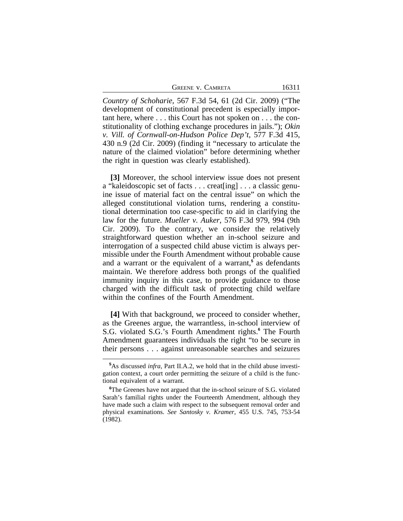| <b>GREENE V. CAMRETA</b> |  | 16311 |
|--------------------------|--|-------|
|--------------------------|--|-------|

*Country of Schoharie*, 567 F.3d 54, 61 (2d Cir. 2009) ("The development of constitutional precedent is especially important here, where . . . this Court has not spoken on . . . the constitutionality of clothing exchange procedures in jails."); *Okin v. Vill. of Cornwall-on-Hudson Police Dep't*, 577 F.3d 415, 430 n.9 (2d Cir. 2009) (finding it "necessary to articulate the nature of the claimed violation" before determining whether the right in question was clearly established).

**[3]** Moreover, the school interview issue does not present a "kaleidoscopic set of facts . . . creat[ing] . . . a classic genuine issue of material fact on the central issue" on which the alleged constitutional violation turns, rendering a constitutional determination too case-specific to aid in clarifying the law for the future. *Mueller v. Auker*, 576 F.3d 979, 994 (9th Cir. 2009). To the contrary, we consider the relatively straightforward question whether an in-school seizure and interrogation of a suspected child abuse victim is always permissible under the Fourth Amendment without probable cause and a warrant or the equivalent of a warrant,**<sup>5</sup>** as defendants maintain. We therefore address both prongs of the qualified immunity inquiry in this case, to provide guidance to those charged with the difficult task of protecting child welfare within the confines of the Fourth Amendment.

**[4]** With that background, we proceed to consider whether, as the Greenes argue, the warrantless, in-school interview of S.G. violated S.G.'s Fourth Amendment rights.**<sup>6</sup>** The Fourth Amendment guarantees individuals the right "to be secure in their persons . . . against unreasonable searches and seizures

**<sup>5</sup>**As discussed *infra*, Part II.A.2, we hold that in the child abuse investigation context, a court order permitting the seizure of a child is the functional equivalent of a warrant.

**<sup>6</sup>**The Greenes have not argued that the in-school seizure of S.G. violated Sarah's familial rights under the Fourteenth Amendment, although they have made such a claim with respect to the subsequent removal order and physical examinations. *See Santosky v. Kramer*, 455 U.S. 745, 753-54 (1982).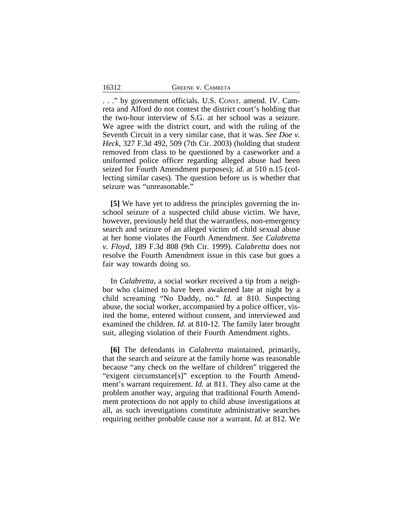. . ." by government officials. U.S. CONST. amend. IV. Camreta and Alford do not contest the district court's holding that the two-hour interview of S.G. at her school was a seizure. We agree with the district court, and with the ruling of the Seventh Circuit in a very similar case, that it was. *See Doe v. Heck*, 327 F.3d 492, 509 (7th Cir. 2003) (holding that student removed from class to be questioned by a caseworker and a uniformed police officer regarding alleged abuse had been seized for Fourth Amendment purposes); *id.* at 510 n.15 (collecting similar cases). The question before us is whether that seizure was "unreasonable."

**[5]** We have yet to address the principles governing the inschool seizure of a suspected child abuse victim. We have, however, previously held that the warrantless, non-emergency search and seizure of an alleged victim of child sexual abuse at her home violates the Fourth Amendment. *See Calabretta v. Floyd*, 189 F.3d 808 (9th Cir. 1999). *Calabretta* does not resolve the Fourth Amendment issue in this case but goes a fair way towards doing so.

In *Calabretta*, a social worker received a tip from a neighbor who claimed to have been awakened late at night by a child screaming "No Daddy, no." *Id.* at 810. Suspecting abuse, the social worker, accompanied by a police officer, visited the home, entered without consent, and interviewed and examined the children. *Id.* at 810-12. The family later brought suit, alleging violation of their Fourth Amendment rights.

**[6]** The defendants in *Calabretta* maintained, primarily, that the search and seizure at the family home was reasonable because "any check on the welfare of children" triggered the "exigent circumstance[s]" exception to the Fourth Amendment's warrant requirement. *Id.* at 811. They also came at the problem another way, arguing that traditional Fourth Amendment protections do not apply to child abuse investigations at all, as such investigations constitute administrative searches requiring neither probable cause nor a warrant. *Id.* at 812. We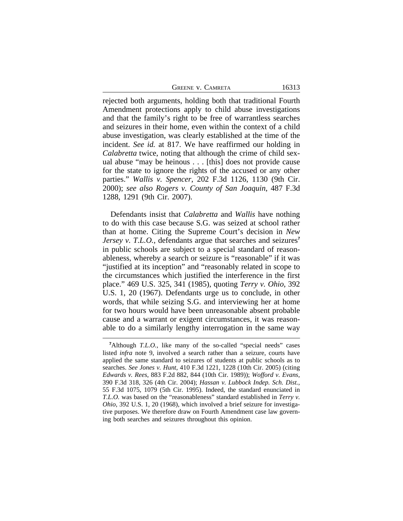| GREENE V. CAMRETA | 16313 |
|-------------------|-------|
|-------------------|-------|

rejected both arguments, holding both that traditional Fourth Amendment protections apply to child abuse investigations and that the family's right to be free of warrantless searches and seizures in their home, even within the context of a child abuse investigation, was clearly established at the time of the incident. *See id.* at 817. We have reaffirmed our holding in *Calabretta* twice, noting that although the crime of child sexual abuse "may be heinous . . . [this] does not provide cause for the state to ignore the rights of the accused or any other parties." *Wallis v. Spencer*, 202 F.3d 1126, 1130 (9th Cir. 2000); *see also Rogers v. County of San Joaquin*, 487 F.3d 1288, 1291 (9th Cir. 2007).

Defendants insist that *Calabretta* and *Wallis* have nothing to do with this case because S.G. was seized at school rather than at home. Citing the Supreme Court's decision in *New Jersey v. T.L.O.*, defendants argue that searches and seizures<sup>7</sup> in public schools are subject to a special standard of reasonableness, whereby a search or seizure is "reasonable" if it was "justified at its inception" and "reasonably related in scope to the circumstances which justified the interference in the first place." 469 U.S. 325, 341 (1985), quoting *Terry v. Ohio*, 392 U.S. 1, 20 (1967). Defendants urge us to conclude, in other words, that while seizing S.G. and interviewing her at home for two hours would have been unreasonable absent probable cause and a warrant or exigent circumstances, it was reasonable to do a similarly lengthy interrogation in the same way

<sup>&</sup>lt;sup>7</sup>Although *T.L.O.*, like many of the so-called "special needs" cases listed *infra* note 9, involved a search rather than a seizure, courts have applied the same standard to seizures of students at public schools as to searches. *See Jones v. Hunt*, 410 F.3d 1221, 1228 (10th Cir. 2005) (citing *Edwards v. Rees*, 883 F.2d 882, 844 (10th Cir. 1989)); *Wofford v. Evans*, 390 F.3d 318, 326 (4th Cir. 2004); *Hassan v. Lubbock Indep. Sch. Dist.*, 55 F.3d 1075, 1079 (5th Cir. 1995). Indeed, the standard enunciated in *T.L.O.* was based on the "reasonableness" standard established in *Terry v. Ohio*, 392 U.S. 1, 20 (1968), which involved a brief seizure for investigative purposes. We therefore draw on Fourth Amendment case law governing both searches and seizures throughout this opinion.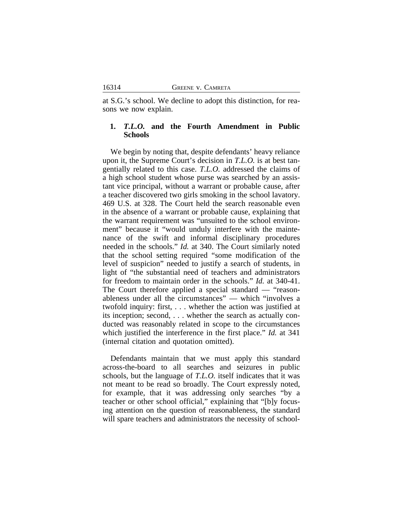at S.G.'s school. We decline to adopt this distinction, for reasons we now explain.

# **1.** *T.L.O.* **and the Fourth Amendment in Public Schools**

We begin by noting that, despite defendants' heavy reliance upon it, the Supreme Court's decision in *T.L.O.* is at best tangentially related to this case. *T.L.O.* addressed the claims of a high school student whose purse was searched by an assistant vice principal, without a warrant or probable cause, after a teacher discovered two girls smoking in the school lavatory. 469 U.S. at 328. The Court held the search reasonable even in the absence of a warrant or probable cause, explaining that the warrant requirement was "unsuited to the school environment" because it "would unduly interfere with the maintenance of the swift and informal disciplinary procedures needed in the schools." *Id.* at 340. The Court similarly noted that the school setting required "some modification of the level of suspicion" needed to justify a search of students, in light of "the substantial need of teachers and administrators for freedom to maintain order in the schools." *Id.* at 340-41. The Court therefore applied a special standard — "reasonableness under all the circumstances" — which "involves a twofold inquiry: first, . . . whether the action was justified at its inception; second, . . . whether the search as actually conducted was reasonably related in scope to the circumstances which justified the interference in the first place." *Id.* at 341 (internal citation and quotation omitted).

Defendants maintain that we must apply this standard across-the-board to all searches and seizures in public schools, but the language of *T.L.O.* itself indicates that it was not meant to be read so broadly. The Court expressly noted, for example, that it was addressing only searches "by a teacher or other school official," explaining that "[b]y focusing attention on the question of reasonableness, the standard will spare teachers and administrators the necessity of school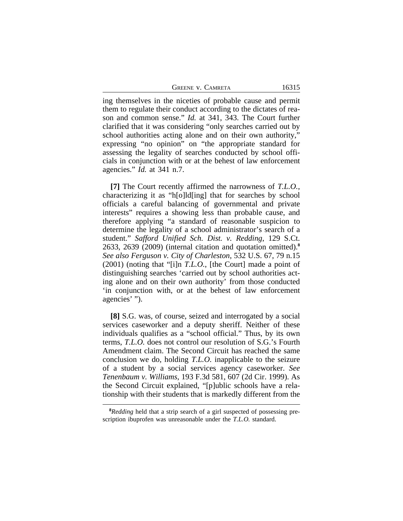GREENE V. CAMRETA 16315

ing themselves in the niceties of probable cause and permit them to regulate their conduct according to the dictates of reason and common sense." *Id.* at 341, 343. The Court further clarified that it was considering "only searches carried out by school authorities acting alone and on their own authority," expressing "no opinion" on "the appropriate standard for assessing the legality of searches conducted by school officials in conjunction with or at the behest of law enforcement agencies." *Id.* at 341 n.7.

**[7]** The Court recently affirmed the narrowness of *T.L.O.*, characterizing it as "h[o]ld[ing] that for searches by school officials a careful balancing of governmental and private interests" requires a showing less than probable cause, and therefore applying "a standard of reasonable suspicion to determine the legality of a school administrator's search of a student." *Safford Unified Sch. Dist. v. Redding*, 129 S.Ct. 2633, 2639 (2009) (internal citation and quotation omitted).**<sup>8</sup>** *See also Ferguson v. City of Charleston*, 532 U.S. 67, 79 n.15 (2001) (noting that "[i]n *T.L.O.*, [the Court] made a point of distinguishing searches 'carried out by school authorities acting alone and on their own authority' from those conducted 'in conjunction with, or at the behest of law enforcement agencies' ").

**[8]** S.G. was, of course, seized and interrogated by a social services caseworker and a deputy sheriff. Neither of these individuals qualifies as a "school official." Thus, by its own terms, *T.L.O.* does not control our resolution of S.G.'s Fourth Amendment claim. The Second Circuit has reached the same conclusion we do, holding *T.L.O.* inapplicable to the seizure of a student by a social services agency caseworker. *See Tenenbaum v. Williams*, 193 F.3d 581, 607 (2d Cir. 1999). As the Second Circuit explained, "[p]ublic schools have a relationship with their students that is markedly different from the

**<sup>8</sup>***Redding* held that a strip search of a girl suspected of possessing prescription ibuprofen was unreasonable under the *T.L.O.* standard.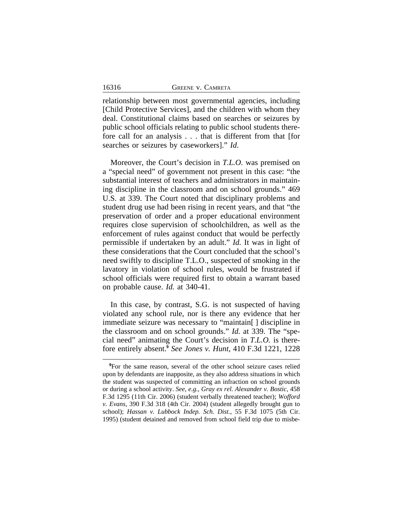relationship between most governmental agencies, including [Child Protective Services], and the children with whom they deal. Constitutional claims based on searches or seizures by public school officials relating to public school students therefore call for an analysis . . . that is different from that [for searches or seizures by caseworkers]." *Id*.

Moreover, the Court's decision in *T.L.O.* was premised on a "special need" of government not present in this case: "the substantial interest of teachers and administrators in maintaining discipline in the classroom and on school grounds." 469 U.S. at 339. The Court noted that disciplinary problems and student drug use had been rising in recent years, and that "the preservation of order and a proper educational environment requires close supervision of schoolchildren, as well as the enforcement of rules against conduct that would be perfectly permissible if undertaken by an adult." *Id.* It was in light of these considerations that the Court concluded that the school's need swiftly to discipline T.L.O., suspected of smoking in the lavatory in violation of school rules, would be frustrated if school officials were required first to obtain a warrant based on probable cause. *Id.* at 340-41.

In this case, by contrast, S.G. is not suspected of having violated any school rule, nor is there any evidence that her immediate seizure was necessary to "maintain[ ] discipline in the classroom and on school grounds." *Id.* at 339. The "special need" animating the Court's decision in *T.L.O.* is therefore entirely absent.**<sup>9</sup>** *See Jones v. Hunt*, 410 F.3d 1221, 1228

**<sup>9</sup>**For the same reason, several of the other school seizure cases relied upon by defendants are inapposite, as they also address situations in which the student was suspected of committing an infraction on school grounds or during a school activity. *See, e.g.*, *Gray ex rel. Alexander v. Bostic*, 458 F.3d 1295 (11th Cir. 2006) (student verbally threatened teacher); *Wofford v. Evans*, 390 F.3d 318 (4th Cir. 2004) (student allegedly brought gun to school); *Hassan v. Lubbock Indep. Sch. Dist.*, 55 F.3d 1075 (5th Cir. 1995) (student detained and removed from school field trip due to misbe-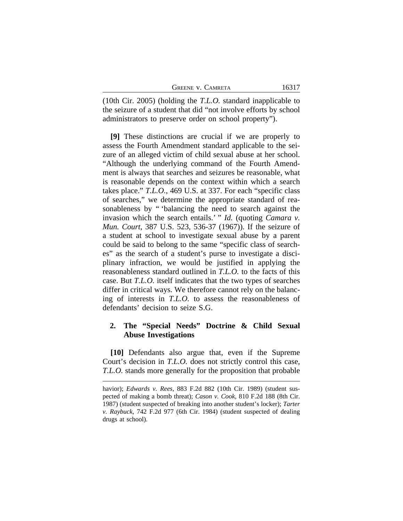| <b>GREENE V. CAMRETA</b> | 16317 |
|--------------------------|-------|
|--------------------------|-------|

(10th Cir. 2005) (holding the *T.L.O.* standard inapplicable to the seizure of a student that did "not involve efforts by school administrators to preserve order on school property").

**[9]** These distinctions are crucial if we are properly to assess the Fourth Amendment standard applicable to the seizure of an alleged victim of child sexual abuse at her school. "Although the underlying command of the Fourth Amendment is always that searches and seizures be reasonable, what is reasonable depends on the context within which a search takes place." *T.L.O.*, 469 U.S. at 337. For each "specific class of searches," we determine the appropriate standard of reasonableness by " 'balancing the need to search against the invasion which the search entails.' " *Id.* (quoting *Camara v. Mun. Court*, 387 U.S. 523, 536-37 (1967)). If the seizure of a student at school to investigate sexual abuse by a parent could be said to belong to the same "specific class of searches" as the search of a student's purse to investigate a disciplinary infraction, we would be justified in applying the reasonableness standard outlined in *T.L.O.* to the facts of this case. But *T.L.O.* itself indicates that the two types of searches differ in critical ways. We therefore cannot rely on the balancing of interests in *T.L.O.* to assess the reasonableness of defendants' decision to seize S.G.

# **2. The "Special Needs" Doctrine & Child Sexual Abuse Investigations**

**[10]** Defendants also argue that, even if the Supreme Court's decision in *T.L.O.* does not strictly control this case, *T.L.O.* stands more generally for the proposition that probable

havior); *Edwards v. Rees*, 883 F.2d 882 (10th Cir. 1989) (student suspected of making a bomb threat); *Cason v. Cook*, 810 F.2d 188 (8th Cir. 1987) (student suspected of breaking into another student's locker); *Tarter v. Raybuck*, 742 F.2d 977 (6th Cir. 1984) (student suspected of dealing drugs at school).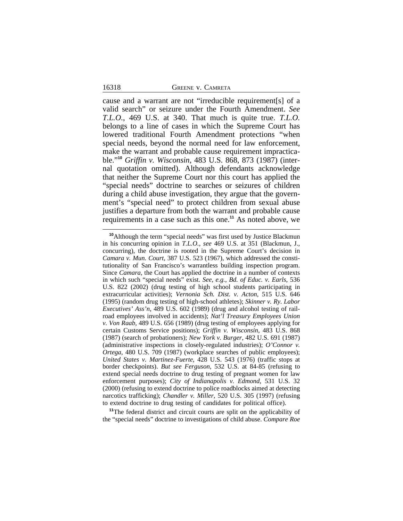cause and a warrant are not "irreducible requirement[s] of a valid search" or seizure under the Fourth Amendment. *See T.L.O.*, 469 U.S. at 340. That much is quite true. *T.L.O.* belongs to a line of cases in which the Supreme Court has lowered traditional Fourth Amendment protections "when special needs, beyond the normal need for law enforcement, make the warrant and probable cause requirement impracticable."**<sup>10</sup>** *Griffin v. Wisconsin*, 483 U.S. 868, 873 (1987) (internal quotation omitted). Although defendants acknowledge that neither the Supreme Court nor this court has applied the "special needs" doctrine to searches or seizures of children during a child abuse investigation, they argue that the government's "special need" to protect children from sexual abuse justifies a departure from both the warrant and probable cause requirements in a case such as this one.**<sup>11</sup>** As noted above, we

**<sup>11</sup>**The federal district and circuit courts are split on the applicability of the "special needs" doctrine to investigations of child abuse. *Compare Roe*

**<sup>10</sup>**Although the term "special needs" was first used by Justice Blackmun in his concurring opinion in *T.L.O.*, *see* 469 U.S. at 351 (Blackmun, J., concurring), the doctrine is rooted in the Supreme Court's decision in *Camara v. Mun. Court*, 387 U.S. 523 (1967), which addressed the constitutionality of San Francisco's warrantless building inspection program. Since *Camara*, the Court has applied the doctrine in a number of contexts in which such "special needs" exist. *See, e.g.*, *Bd. of Educ. v. Earls*, 536 U.S. 822 (2002) (drug testing of high school students participating in extracurricular activities); *Vernonia Sch. Dist. v. Acton*, 515 U.S. 646 (1995) (random drug testing of high-school athletes); *Skinner v. Ry. Labor Executives' Ass'n*, 489 U.S. 602 (1989) (drug and alcohol testing of railroad employees involved in accidents); *Nat'l Treasury Employees Union v. Von Raab*, 489 U.S. 656 (1989) (drug testing of employees applying for certain Customs Service positions); *Griffin v. Wisconsin*, 483 U.S. 868 (1987) (search of probationers); *New York v. Burger*, 482 U.S. 691 (1987) (administrative inspections in closely-regulated industries); *O'Connor v. Ortega*, 480 U.S. 709 (1987) (workplace searches of public employees); *United States v. Martinez-Fuerte*, 428 U.S. 543 (1976) (traffic stops at border checkpoints). *But see Ferguson*, 532 U.S. at 84-85 (refusing to extend special needs doctrine to drug testing of pregnant women for law enforcement purposes); *City of Indianapolis v. Edmond*, 531 U.S. 32 (2000) (refusing to extend doctrine to police roadblocks aimed at detecting narcotics trafficking); *Chandler v. Miller*, 520 U.S. 305 (1997) (refusing to extend doctrine to drug testing of candidates for political office).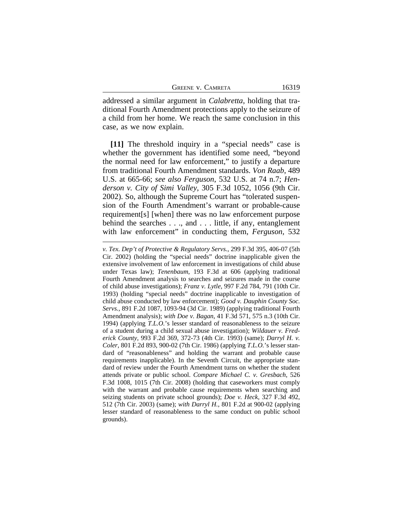| <b>GREENE V. CAMRETA</b> |  |
|--------------------------|--|
|                          |  |

addressed a similar argument in *Calabretta*, holding that traditional Fourth Amendment protections apply to the seizure of a child from her home. We reach the same conclusion in this case, as we now explain.

**[11]** The threshold inquiry in a "special needs" case is whether the government has identified some need, "beyond the normal need for law enforcement," to justify a departure from traditional Fourth Amendment standards. *Von Raab*, 489 U.S. at 665-66; *see also Ferguson*, 532 U.S. at 74 n.7; *Henderson v. City of Simi Valley*, 305 F.3d 1052, 1056 (9th Cir. 2002). So, although the Supreme Court has "tolerated suspension of the Fourth Amendment's warrant or probable-cause requirement[s] [when] there was no law enforcement purpose behind the searches . . ., and . . . little, if any, entanglement with law enforcement" in conducting them, *Ferguson*, 532

*v. Tex. Dep't of Protective & Regulatory Servs.*, 299 F.3d 395, 406-07 (5th Cir. 2002) (holding the "special needs" doctrine inapplicable given the extensive involvement of law enforcement in investigations of child abuse under Texas law); *Tenenbaum*, 193 F.3d at 606 (applying traditional Fourth Amendment analysis to searches and seizures made in the course of child abuse investigations); *Franz v. Lytle*, 997 F.2d 784, 791 (10th Cir. 1993) (holding "special needs" doctrine inapplicable to investigation of child abuse conducted by law enforcement); *Good v. Dauphin County Soc. Servs.*, 891 F.2d 1087, 1093-94 (3d Cir. 1989) (applying traditional Fourth Amendment analysis); *with Doe v. Bagan*, 41 F.3d 571, 575 n.3 (10th Cir. 1994) (applying *T.L.O.*'s lesser standard of reasonableness to the seizure of a student during a child sexual abuse investigation); *Wildauer v. Frederick County*, 993 F.2d 369, 372-73 (4th Cir. 1993) (same); *Darryl H. v. Coler*, 801 F.2d 893, 900-02 (7th Cir. 1986) (applying *T.L.O.*'s lesser standard of "reasonableness" and holding the warrant and probable cause requirements inapplicable). In the Seventh Circuit, the appropriate standard of review under the Fourth Amendment turns on whether the student attends private or public school. *Compare Michael C. v. Gresbach*, 526 F.3d 1008, 1015 (7th Cir. 2008) (holding that caseworkers must comply with the warrant and probable cause requirements when searching and seizing students on private school grounds); *Doe v. Heck*, 327 F.3d 492, 512 (7th Cir. 2003) (same); *with Darryl H.*, 801 F.2d at 900-02 (applying lesser standard of reasonableness to the same conduct on public school grounds).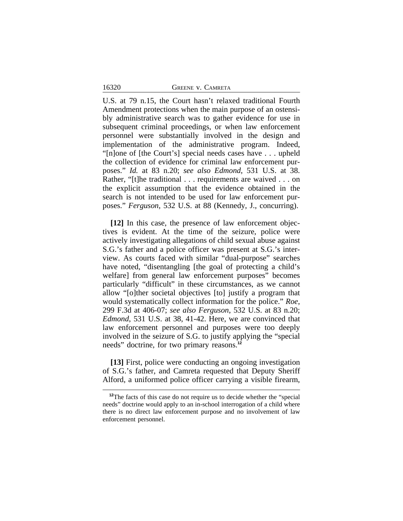|  |  | <b>GREENE V. CAMRETA</b> |
|--|--|--------------------------|
|--|--|--------------------------|

16320

U.S. at 79 n.15, the Court hasn't relaxed traditional Fourth Amendment protections when the main purpose of an ostensibly administrative search was to gather evidence for use in subsequent criminal proceedings, or when law enforcement personnel were substantially involved in the design and implementation of the administrative program. Indeed, "[n]one of [the Court's] special needs cases have . . . upheld the collection of evidence for criminal law enforcement purposes." *Id.* at 83 n.20; *see also Edmond*, 531 U.S. at 38. Rather, "[t]he traditional . . . requirements are waived . . . on the explicit assumption that the evidence obtained in the search is not intended to be used for law enforcement purposes." *Ferguson*, 532 U.S. at 88 (Kennedy, J., concurring).

**[12]** In this case, the presence of law enforcement objectives is evident. At the time of the seizure, police were actively investigating allegations of child sexual abuse against S.G.'s father and a police officer was present at S.G.'s interview. As courts faced with similar "dual-purpose" searches have noted, "disentangling [the goal of protecting a child's welfare] from general law enforcement purposes" becomes particularly "difficult" in these circumstances, as we cannot allow "[o]ther societal objectives [to] justify a program that would systematically collect information for the police." *Roe*, 299 F.3d at 406-07; *see also Ferguson*, 532 U.S. at 83 n.20; *Edmond*, 531 U.S. at 38, 41-42. Here, we are convinced that law enforcement personnel and purposes were too deeply involved in the seizure of S.G. to justify applying the "special needs" doctrine, for two primary reasons.**<sup>12</sup>**

**[13]** First, police were conducting an ongoing investigation of S.G.'s father, and Camreta requested that Deputy Sheriff Alford, a uniformed police officer carrying a visible firearm,

**<sup>12</sup>**The facts of this case do not require us to decide whether the "special needs" doctrine would apply to an in-school interrogation of a child where there is no direct law enforcement purpose and no involvement of law enforcement personnel.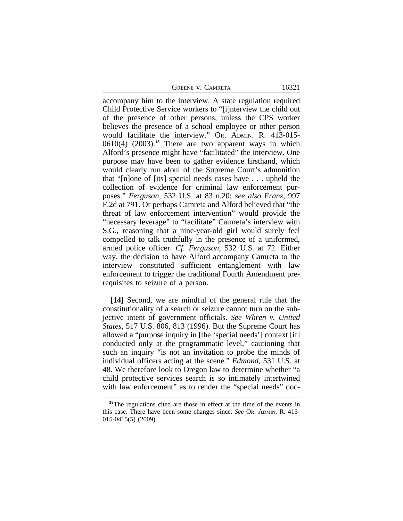GREENE V. CAMRETA 16321

accompany him to the interview. A state regulation required Child Protective Service workers to "[i]nterview the child out of the presence of other persons, unless the CPS worker believes the presence of a school employee or other person would facilitate the interview." OR. ADMIN. R. 413-015- 0610(4) (2003).**<sup>13</sup>** There are two apparent ways in which Alford's presence might have "facilitated" the interview. One purpose may have been to gather evidence firsthand, which would clearly run afoul of the Supreme Court's admonition that "[n]one of [its] special needs cases have . . . upheld the collection of evidence for criminal law enforcement purposes." *Ferguson*, 532 U.S. at 83 n.20; *see also Franz*, 997 F.2d at 791. Or perhaps Camreta and Alford believed that "the threat of law enforcement intervention" would provide the "necessary leverage" to "facilitate" Camreta's interview with S.G., reasoning that a nine-year-old girl would surely feel compelled to talk truthfully in the presence of a uniformed, armed police officer. *Cf. Ferguson*, 532 U.S. at 72. Either way, the decision to have Alford accompany Camreta to the interview constituted sufficient entanglement with law enforcement to trigger the traditional Fourth Amendment prerequisites to seizure of a person.

**[14]** Second, we are mindful of the general rule that the constitutionality of a search or seizure cannot turn on the subjective intent of government officials. *See Whren v. United States*, 517 U.S. 806, 813 (1996). But the Supreme Court has allowed a "purpose inquiry in [the 'special needs'] context [if] conducted only at the programmatic level," cautioning that such an inquiry "is not an invitation to probe the minds of individual officers acting at the scene." *Edmond*, 531 U.S. at 48. We therefore look to Oregon law to determine whether "a child protective services search is so intimately intertwined with law enforcement" as to render the "special needs" doc-

<sup>&</sup>lt;sup>13</sup>The regulations cited are those in effect at the time of the events in this case. There have been some changes since. *See* OR. ADMIN. R. 413- 015-0415(5) (2009).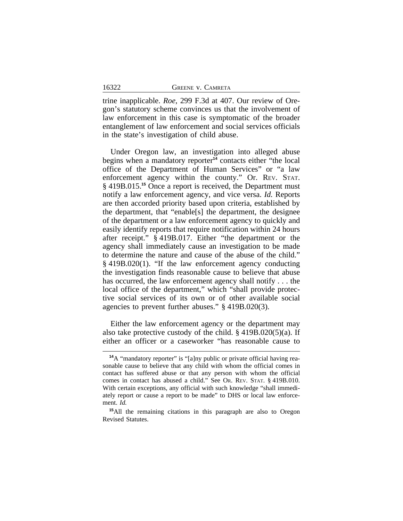trine inapplicable. *Roe*, 299 F.3d at 407. Our review of Oregon's statutory scheme convinces us that the involvement of law enforcement in this case is symptomatic of the broader entanglement of law enforcement and social services officials in the state's investigation of child abuse.

Under Oregon law, an investigation into alleged abuse begins when a mandatory reporter<sup>14</sup> contacts either "the local office of the Department of Human Services" or "a law enforcement agency within the county." Or. REV. STAT. § 419B.015.**<sup>15</sup>** Once a report is received, the Department must notify a law enforcement agency, and vice versa. *Id.* Reports are then accorded priority based upon criteria, established by the department, that "enable[s] the department, the designee of the department or a law enforcement agency to quickly and easily identify reports that require notification within 24 hours after receipt." § 419B.017. Either "the department or the agency shall immediately cause an investigation to be made to determine the nature and cause of the abuse of the child." § 419B.020(1). "If the law enforcement agency conducting the investigation finds reasonable cause to believe that abuse has occurred, the law enforcement agency shall notify . . . the local office of the department," which "shall provide protective social services of its own or of other available social agencies to prevent further abuses." § 419B.020(3).

Either the law enforcement agency or the department may also take protective custody of the child.  $\S$  419B.020(5)(a). If either an officer or a caseworker "has reasonable cause to

<sup>&</sup>lt;sup>14</sup>A "mandatory reporter" is "[a]ny public or private official having reasonable cause to believe that any child with whom the official comes in contact has suffered abuse or that any person with whom the official comes in contact has abused a child." See OR. REV. STAT. § 419B.010. With certain exceptions, any official with such knowledge "shall immediately report or cause a report to be made" to DHS or local law enforcement. *Id.*

**<sup>15</sup>**All the remaining citations in this paragraph are also to Oregon Revised Statutes.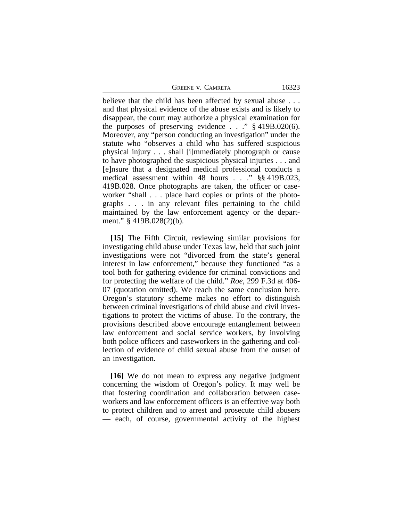|  | Greene v. Camreta |
|--|-------------------|
|  |                   |

believe that the child has been affected by sexual abuse . . . and that physical evidence of the abuse exists and is likely to disappear, the court may authorize a physical examination for the purposes of preserving evidence . . ." § 419B.020(6). Moreover, any "person conducting an investigation" under the statute who "observes a child who has suffered suspicious physical injury . . . shall [i]mmediately photograph or cause to have photographed the suspicious physical injuries . . . and [e]nsure that a designated medical professional conducts a medical assessment within 48 hours . . ." §§ 419B.023, 419B.028. Once photographs are taken, the officer or caseworker "shall . . . place hard copies or prints of the photographs . . . in any relevant files pertaining to the child maintained by the law enforcement agency or the department." § 419B.028(2)(b).

**[15]** The Fifth Circuit, reviewing similar provisions for investigating child abuse under Texas law, held that such joint investigations were not "divorced from the state's general interest in law enforcement," because they functioned "as a tool both for gathering evidence for criminal convictions and for protecting the welfare of the child." *Roe*, 299 F.3d at 406- 07 (quotation omitted). We reach the same conclusion here. Oregon's statutory scheme makes no effort to distinguish between criminal investigations of child abuse and civil investigations to protect the victims of abuse. To the contrary, the provisions described above encourage entanglement between law enforcement and social service workers, by involving both police officers and caseworkers in the gathering and collection of evidence of child sexual abuse from the outset of an investigation.

**[16]** We do not mean to express any negative judgment concerning the wisdom of Oregon's policy. It may well be that fostering coordination and collaboration between caseworkers and law enforcement officers is an effective way both to protect children and to arrest and prosecute child abusers — each, of course, governmental activity of the highest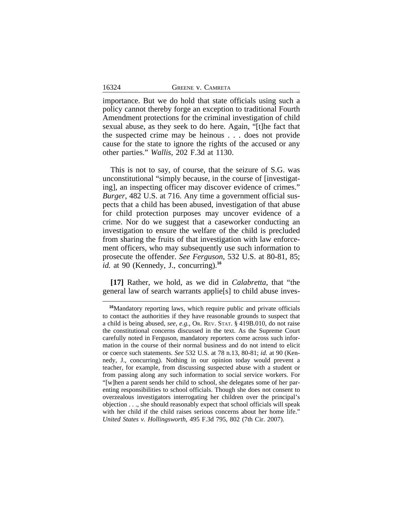16324

importance. But we do hold that state officials using such a policy cannot thereby forge an exception to traditional Fourth Amendment protections for the criminal investigation of child sexual abuse, as they seek to do here. Again, "[t]he fact that the suspected crime may be heinous . . . does not provide cause for the state to ignore the rights of the accused or any other parties." *Wallis*, 202 F.3d at 1130.

This is not to say, of course, that the seizure of S.G. was unconstitutional "simply because, in the course of [investigating], an inspecting officer may discover evidence of crimes." *Burger*, 482 U.S. at 716. Any time a government official suspects that a child has been abused, investigation of that abuse for child protection purposes may uncover evidence of a crime. Nor do we suggest that a caseworker conducting an investigation to ensure the welfare of the child is precluded from sharing the fruits of that investigation with law enforcement officers, who may subsequently use such information to prosecute the offender. *See Ferguson*, 532 U.S. at 80-81, 85; *id.* at 90 (Kennedy, J., concurring).**<sup>16</sup>**

**[17]** Rather, we hold, as we did in *Calabretta*, that "the general law of search warrants applie[s] to child abuse inves-

**<sup>16</sup>**Mandatory reporting laws, which require public and private officials to contact the authorities if they have reasonable grounds to suspect that a child is being abused, *see, e.g.*, OR. REV. STAT. § 419B.010, do not raise the constitutional concerns discussed in the text. As the Supreme Court carefully noted in Ferguson, mandatory reporters come across such information in the course of their normal business and do not intend to elicit or coerce such statements. *See* 532 U.S. at 78 n.13, 80-81; *id.* at 90 (Kennedy, J., concurring). Nothing in our opinion today would prevent a teacher, for example, from discussing suspected abuse with a student or from passing along any such information to social service workers. For "[w]hen a parent sends her child to school, she delegates some of her parenting responsibilities to school officials. Though she does not consent to overzealous investigators interrogating her children over the principal's objection . . ., she should reasonably expect that school officials will speak with her child if the child raises serious concerns about her home life." *United States v. Hollingsworth*, 495 F.3d 795, 802 (7th Cir. 2007).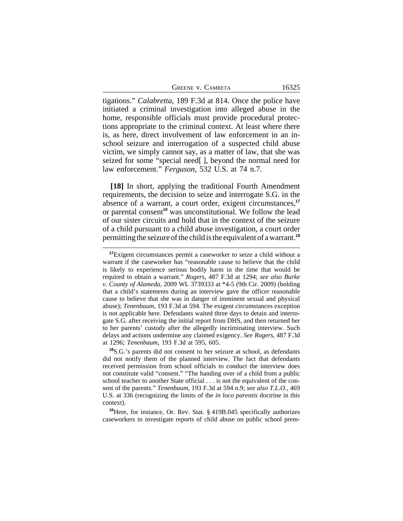tigations." *Calabretta*, 189 F.3d at 814. Once the police have initiated a criminal investigation into alleged abuse in the home, responsible officials must provide procedural protections appropriate to the criminal context. At least where there is, as here, direct involvement of law enforcement in an inschool seizure and interrogation of a suspected child abuse victim, we simply cannot say, as a matter of law, that she was seized for some "special need[ ], beyond the normal need for law enforcement." *Ferguson*, 532 U.S. at 74 n.7.

**[18]** In short, applying the traditional Fourth Amendment requirements, the decision to seize and interrogate S.G. in the absence of a warrant, a court order, exigent circumstances,**<sup>17</sup>** or parental consent**<sup>18</sup>** was unconstitutional. We follow the lead of our sister circuits and hold that in the context of the seizure of a child pursuant to a child abuse investigation, a court order permitting the seizure of the child is the equivalent of a warrant.**<sup>19</sup>**

**<sup>19</sup>**Here, for instance, Or. Rev. Stat. § 419B.045 specifically authorizes caseworkers to investigate reports of child abuse on public school prem-

**<sup>17</sup>**Exigent circumstances permit a caseworker to seize a child without a warrant if the caseworker has "reasonable cause to believe that the child is likely to experience serious bodily harm in the time that would be required to obtain a warrant." *Rogers*, 487 F.3d at 1294; *see also Burke v. County of Alameda*, 2009 WL 3739333 at \*4-5 (9th Cir. 2009) (holding that a child's statements during an interview gave the officer reasonable cause to believe that she was in danger of imminent sexual and physical abuse); *Tenenbaum*, 193 F.3d at 594. The exigent circumstances exception is not applicable here. Defendants waited three days to detain and interrogate S.G. after receiving the initial report from DHS, and then returned her to her parents' custody after the allegedly incriminating interview. Such delays and actions undermine any claimed exigency. *See Rogers*, 487 F.3d at 1296; *Tenenbaum*, 193 F.3d at 595, 605.

**<sup>18</sup>**S.G.'s parents did not consent to her seizure at school, as defendants did not notify them of the planned interview. The fact that defendants received permission from school officials to conduct the interview does not constitute valid "consent." "The handing over of a child from a public school teacher to another State official . . . is not the equivalent of the consent of the parents." *Tenenbaum*, 193 F.3d at 594 n.9; *see also T.L.O.*, 469 U.S. at 336 (recognizing the limits of the *in loco parentis* doctrine in this context).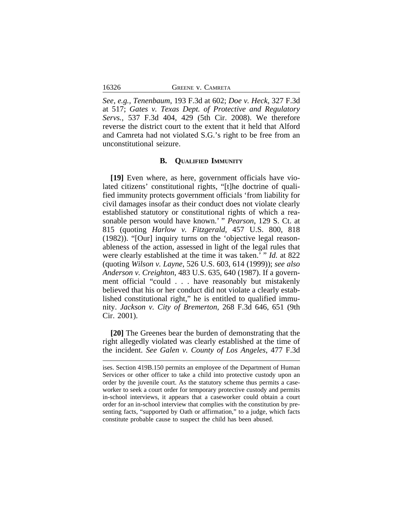*See, e.g., Tenenbaum*, 193 F.3d at 602; *Doe v. Heck*, 327 F.3d at 517; *Gates v. Texas Dept. of Protective and Regulatory Servs.*, 537 F.3d 404, 429 (5th Cir. 2008). We therefore reverse the district court to the extent that it held that Alford and Camreta had not violated S.G.'s right to be free from an unconstitutional seizure.

### **B. QUALIFIED IMMUNITY**

**[19]** Even where, as here, government officials have violated citizens' constitutional rights, "[t]he doctrine of qualified immunity protects government officials 'from liability for civil damages insofar as their conduct does not violate clearly established statutory or constitutional rights of which a reasonable person would have known.' " *Pearson*, 129 S. Ct. at 815 (quoting *Harlow v. Fitzgerald,* 457 U.S. 800, 818 (1982)). "[Our] inquiry turns on the 'objective legal reasonableness of the action, assessed in light of the legal rules that were clearly established at the time it was taken.' " *Id.* at 822 (quoting *Wilson v. Layne*, 526 U.S. 603, 614 (1999)); *see also Anderson v. Creighton*, 483 U.S. 635, 640 (1987). If a government official "could . . . have reasonably but mistakenly believed that his or her conduct did not violate a clearly established constitutional right," he is entitled to qualified immunity. *Jackson v. City of Bremerton,* 268 F.3d 646, 651 (9th Cir. 2001).

**[20]** The Greenes bear the burden of demonstrating that the right allegedly violated was clearly established at the time of the incident. *See Galen v. County of Los Angeles*, 477 F.3d

ises. Section 419B.150 permits an employee of the Department of Human Services or other officer to take a child into protective custody upon an order by the juvenile court. As the statutory scheme thus permits a caseworker to seek a court order for temporary protective custody and permits in-school interviews, it appears that a caseworker could obtain a court order for an in-school interview that complies with the constitution by presenting facts, "supported by Oath or affirmation," to a judge, which facts constitute probable cause to suspect the child has been abused.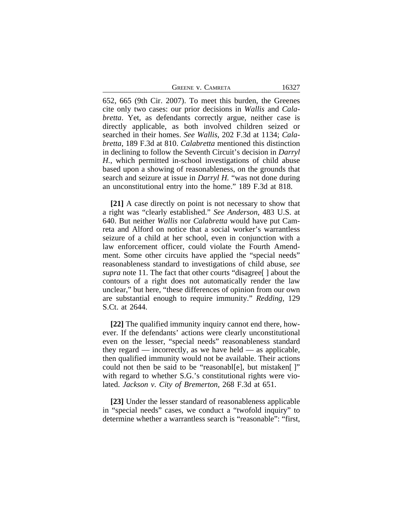| <b>GREENE V. CAMRETA</b> | 16327 |
|--------------------------|-------|
|--------------------------|-------|

652, 665 (9th Cir. 2007). To meet this burden, the Greenes cite only two cases: our prior decisions in *Wallis* and *Calabretta*. Yet, as defendants correctly argue, neither case is directly applicable, as both involved children seized or searched in their homes. *See Wallis*, 202 F.3d at 1134; *Calabretta*, 189 F.3d at 810. *Calabretta* mentioned this distinction in declining to follow the Seventh Circuit's decision in *Darryl H.*, which permitted in-school investigations of child abuse based upon a showing of reasonableness, on the grounds that search and seizure at issue in *Darryl H.* "was not done during an unconstitutional entry into the home." 189 F.3d at 818.

**[21]** A case directly on point is not necessary to show that a right was "clearly established." *See Anderson*, 483 U.S. at 640. But neither *Wallis* nor *Calabretta* would have put Camreta and Alford on notice that a social worker's warrantless seizure of a child at her school, even in conjunction with a law enforcement officer, could violate the Fourth Amendment. Some other circuits have applied the "special needs" reasonableness standard to investigations of child abuse, *see supra* note 11. The fact that other courts "disagree[ ] about the contours of a right does not automatically render the law unclear," but here, "these differences of opinion from our own are substantial enough to require immunity." *Redding*, 129 S.Ct. at 2644.

**[22]** The qualified immunity inquiry cannot end there, however. If the defendants' actions were clearly unconstitutional even on the lesser, "special needs" reasonableness standard they regard — incorrectly, as we have held — as applicable, then qualified immunity would not be available. Their actions could not then be said to be "reasonabl[e], but mistaken[]" with regard to whether S.G.'s constitutional rights were violated. *Jackson v. City of Bremerton,* 268 F.3d at 651.

**[23]** Under the lesser standard of reasonableness applicable in "special needs" cases, we conduct a "twofold inquiry" to determine whether a warrantless search is "reasonable": "first,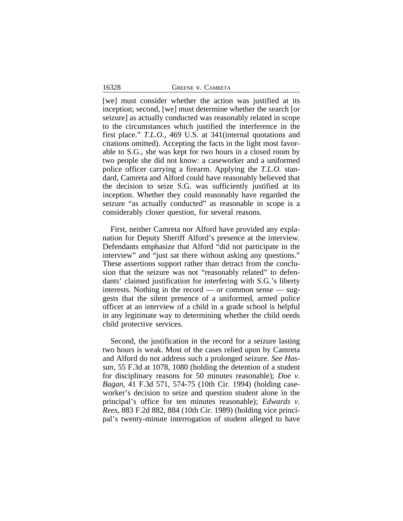| <b>GREENE V. CAMRETA</b> |  |
|--------------------------|--|
|--------------------------|--|

[we] must consider whether the action was justified at its inception; second, [we] must determine whether the search [or seizure] as actually conducted was reasonably related in scope to the circumstances which justified the interference in the first place." *T.L.O.*, 469 U.S. at 341(internal quotations and citations omitted). Accepting the facts in the light most favorable to S.G., she was kept for two hours in a closed room by two people she did not know: a caseworker and a uniformed police officer carrying a firearm. Applying the *T.L.O.* standard, Camreta and Alford could have reasonably believed that the decision to seize S.G. was sufficiently justified at its inception. Whether they could reasonably have regarded the seizure "as actually conducted" as reasonable in scope is a considerably closer question, for several reasons.

First, neither Camreta nor Alford have provided any explanation for Deputy Sheriff Alford's presence at the interview. Defendants emphasize that Alford "did not participate in the interview" and "just sat there without asking any questions." These assertions support rather than detract from the conclusion that the seizure was not "reasonably related" to defendants' claimed justification for interfering with S.G.'s liberty interests. Nothing in the record — or common sense — suggests that the silent presence of a uniformed, armed police officer at an interview of a child in a grade school is helpful in any legitimate way to determining whether the child needs child protective services.

Second, the justification in the record for a seizure lasting two hours is weak. Most of the cases relied upon by Camreta and Alford do not address such a prolonged seizure. *See Hassan*, 55 F.3d at 1078, 1080 (holding the detention of a student for disciplinary reasons for 50 minutes reasonable); *Doe v. Bagan*, 41 F.3d 571, 574-75 (10th Cir. 1994) (holding caseworker's decision to seize and question student alone in the principal's office for ten minutes reasonable); *Edwards v. Rees*, 883 F.2d 882, 884 (10th Cir. 1989) (holding vice principal's twenty-minute interrogation of student alleged to have

16328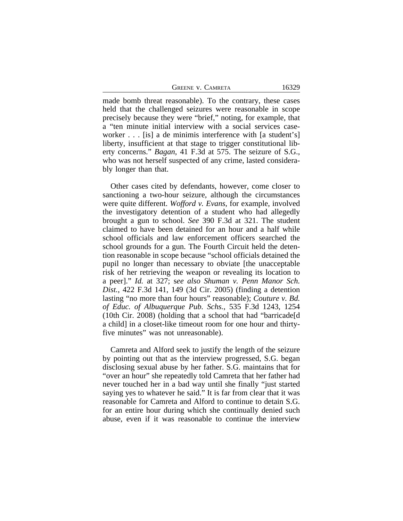GREENE V. CAMRETA 16329

made bomb threat reasonable). To the contrary, these cases held that the challenged seizures were reasonable in scope precisely because they were "brief," noting, for example, that a "ten minute initial interview with a social services caseworker . . . [is] a de minimis interference with [a student's] liberty, insufficient at that stage to trigger constitutional liberty concerns." *Bagan*, 41 F.3d at 575. The seizure of S.G., who was not herself suspected of any crime, lasted considerably longer than that.

Other cases cited by defendants, however, come closer to sanctioning a two-hour seizure, although the circumstances were quite different. *Wofford v. Evans*, for example, involved the investigatory detention of a student who had allegedly brought a gun to school. *See* 390 F.3d at 321. The student claimed to have been detained for an hour and a half while school officials and law enforcement officers searched the school grounds for a gun. The Fourth Circuit held the detention reasonable in scope because "school officials detained the pupil no longer than necessary to obviate [the unacceptable risk of her retrieving the weapon or revealing its location to a peer]." *Id.* at 327; s*ee also Shuman v. Penn Manor Sch. Dist.*, 422 F.3d 141, 149 (3d Cir. 2005) (finding a detention lasting "no more than four hours" reasonable); *Couture v. Bd. of Educ. of Albuquerque Pub. Schs.*, 535 F.3d 1243, 1254 (10th Cir. 2008) (holding that a school that had "barricade[d a child] in a closet-like timeout room for one hour and thirtyfive minutes" was not unreasonable).

Camreta and Alford seek to justify the length of the seizure by pointing out that as the interview progressed, S.G. began disclosing sexual abuse by her father. S.G. maintains that for "over an hour" she repeatedly told Camreta that her father had never touched her in a bad way until she finally "just started saying yes to whatever he said." It is far from clear that it was reasonable for Camreta and Alford to continue to detain S.G. for an entire hour during which she continually denied such abuse, even if it was reasonable to continue the interview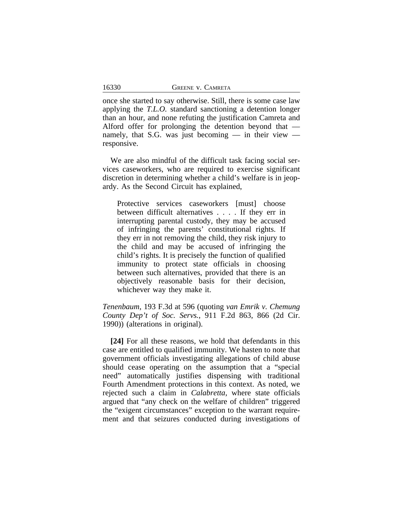once she started to say otherwise. Still, there is some case law applying the *T.L.O.* standard sanctioning a detention longer than an hour, and none refuting the justification Camreta and Alford offer for prolonging the detention beyond that namely, that S.G. was just becoming — in their view responsive.

We are also mindful of the difficult task facing social services caseworkers, who are required to exercise significant discretion in determining whether a child's welfare is in jeopardy. As the Second Circuit has explained,

Protective services caseworkers [must] choose between difficult alternatives . . . . If they err in interrupting parental custody, they may be accused of infringing the parents' constitutional rights. If they err in not removing the child, they risk injury to the child and may be accused of infringing the child's rights. It is precisely the function of qualified immunity to protect state officials in choosing between such alternatives, provided that there is an objectively reasonable basis for their decision, whichever way they make it.

*Tenenbaum*, 193 F.3d at 596 (quoting *van Emrik v. Chemung County Dep't of Soc. Servs.*, 911 F.2d 863, 866 (2d Cir. 1990)) (alterations in original).

**[24]** For all these reasons, we hold that defendants in this case are entitled to qualified immunity. We hasten to note that government officials investigating allegations of child abuse should cease operating on the assumption that a "special need" automatically justifies dispensing with traditional Fourth Amendment protections in this context. As noted, we rejected such a claim in *Calabretta*, where state officials argued that "any check on the welfare of children" triggered the "exigent circumstances" exception to the warrant requirement and that seizures conducted during investigations of

16330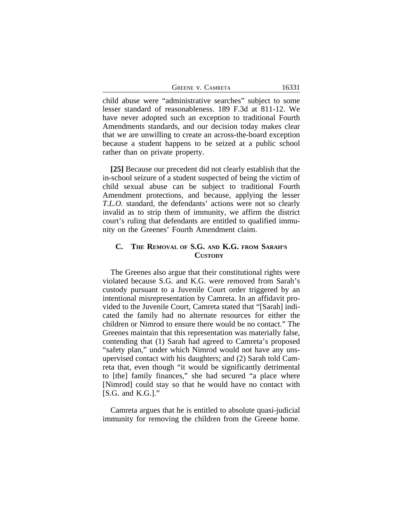| <b>GREENE V. CAMRETA</b> |  |
|--------------------------|--|
|--------------------------|--|

16331

child abuse were "administrative searches" subject to some lesser standard of reasonableness. 189 F.3d at 811-12. We have never adopted such an exception to traditional Fourth Amendments standards, and our decision today makes clear that we are unwilling to create an across-the-board exception because a student happens to be seized at a public school rather than on private property.

**[25]** Because our precedent did not clearly establish that the in-school seizure of a student suspected of being the victim of child sexual abuse can be subject to traditional Fourth Amendment protections, and because, applying the lesser *T.L.O.* standard, the defendants' actions were not so clearly invalid as to strip them of immunity, we affirm the district court's ruling that defendants are entitled to qualified immunity on the Greenes' Fourth Amendment claim.

## **C. THE REMOVAL OF S.G. AND K.G. FROM SARAH'S CUSTODY**

The Greenes also argue that their constitutional rights were violated because S.G. and K.G. were removed from Sarah's custody pursuant to a Juvenile Court order triggered by an intentional misrepresentation by Camreta. In an affidavit provided to the Juvenile Court, Camreta stated that "[Sarah] indicated the family had no alternate resources for either the children or Nimrod to ensure there would be no contact." The Greenes maintain that this representation was materially false, contending that (1) Sarah had agreed to Camreta's proposed "safety plan," under which Nimrod would not have any unsupervised contact with his daughters; and (2) Sarah told Camreta that, even though "it would be significantly detrimental to [the] family finances," she had secured "a place where [Nimrod] could stay so that he would have no contact with [S.G. and K.G.]."

Camreta argues that he is entitled to absolute quasi-judicial immunity for removing the children from the Greene home.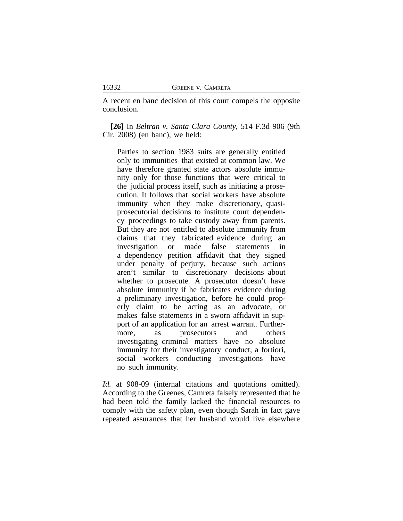A recent en banc decision of this court compels the opposite conclusion.

**[26]** In *Beltran v. Santa Clara County*, 514 F.3d 906 (9th Cir. 2008) (en banc), we held:

Parties to section 1983 suits are generally entitled only to immunities that existed at common law. We have therefore granted state actors absolute immunity only for those functions that were critical to the judicial process itself, such as initiating a prosecution. It follows that social workers have absolute immunity when they make discretionary, quasiprosecutorial decisions to institute court dependency proceedings to take custody away from parents. But they are not entitled to absolute immunity from claims that they fabricated evidence during an investigation or made false statements in a dependency petition affidavit that they signed under penalty of perjury, because such actions aren't similar to discretionary decisions about whether to prosecute. A prosecutor doesn't have absolute immunity if he fabricates evidence during a preliminary investigation, before he could properly claim to be acting as an advocate, or makes false statements in a sworn affidavit in support of an application for an arrest warrant. Furthermore, as prosecutors and others investigating criminal matters have no absolute immunity for their investigatory conduct, a fortiori, social workers conducting investigations have no such immunity.

*Id.* at 908-09 (internal citations and quotations omitted). According to the Greenes, Camreta falsely represented that he had been told the family lacked the financial resources to comply with the safety plan, even though Sarah in fact gave repeated assurances that her husband would live elsewhere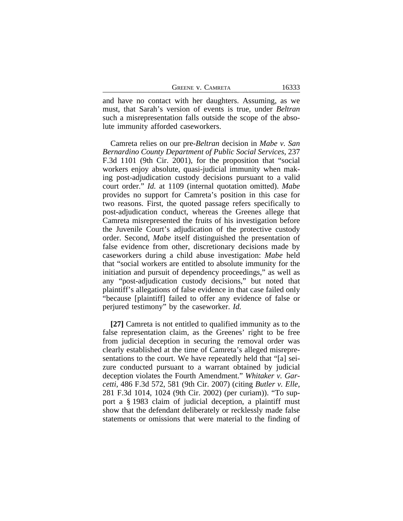| <b>GREENE V. CAMRETA</b> | 16333 |
|--------------------------|-------|
|--------------------------|-------|

and have no contact with her daughters. Assuming, as we must, that Sarah's version of events is true, under *Beltran* such a misrepresentation falls outside the scope of the absolute immunity afforded caseworkers.

Camreta relies on our pre-*Beltran* decision in *Mabe v. San Bernardino County Department of Public Social Services*, 237 F.3d 1101 (9th Cir. 2001), for the proposition that "social workers enjoy absolute, quasi-judicial immunity when making post-adjudication custody decisions pursuant to a valid court order." *Id.* at 1109 (internal quotation omitted). *Mabe* provides no support for Camreta's position in this case for two reasons. First, the quoted passage refers specifically to post-adjudication conduct, whereas the Greenes allege that Camreta misrepresented the fruits of his investigation before the Juvenile Court's adjudication of the protective custody order. Second, *Mabe* itself distinguished the presentation of false evidence from other, discretionary decisions made by caseworkers during a child abuse investigation: *Mabe* held that "social workers are entitled to absolute immunity for the initiation and pursuit of dependency proceedings," as well as any "post-adjudication custody decisions," but noted that plaintiff's allegations of false evidence in that case failed only "because [plaintiff] failed to offer any evidence of false or perjured testimony" by the caseworker. *Id.*

**[27]** Camreta is not entitled to qualified immunity as to the false representation claim, as the Greenes' right to be free from judicial deception in securing the removal order was clearly established at the time of Camreta's alleged misrepresentations to the court. We have repeatedly held that "[a] seizure conducted pursuant to a warrant obtained by judicial deception violates the Fourth Amendment." *Whitaker v. Garcetti*, 486 F.3d 572, 581 (9th Cir. 2007) (citing *Butler v. Elle*, 281 F.3d 1014, 1024 (9th Cir. 2002) (per curiam)). "To support a § 1983 claim of judicial deception, a plaintiff must show that the defendant deliberately or recklessly made false statements or omissions that were material to the finding of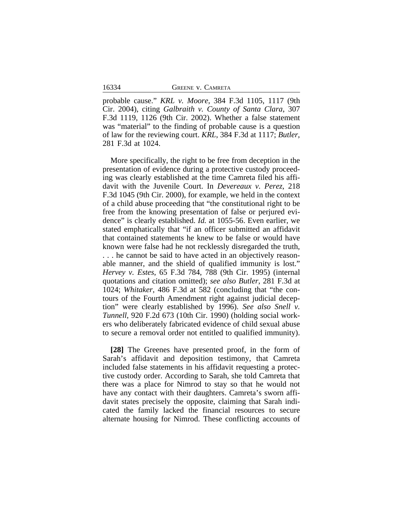16334 GREENE v. CAMRETA

probable cause." *KRL v. Moore*, 384 F.3d 1105, 1117 (9th Cir. 2004), citing *Galbraith v. County of Santa Clara*, 307 F.3d 1119, 1126 (9th Cir. 2002). Whether a false statement was "material" to the finding of probable cause is a question of law for the reviewing court. *KRL*, 384 F.3d at 1117; *Butler*, 281 F.3d at 1024.

More specifically, the right to be free from deception in the presentation of evidence during a protective custody proceeding was clearly established at the time Camreta filed his affidavit with the Juvenile Court. In *Devereaux v. Perez*, 218 F.3d 1045 (9th Cir. 2000), for example, we held in the context of a child abuse proceeding that "the constitutional right to be free from the knowing presentation of false or perjured evidence" is clearly established. *Id.* at 1055-56. Even earlier, we stated emphatically that "if an officer submitted an affidavit that contained statements he knew to be false or would have known were false had he not recklessly disregarded the truth, . . . he cannot be said to have acted in an objectively reasonable manner, and the shield of qualified immunity is lost." *Hervey v. Estes*, 65 F.3d 784, 788 (9th Cir. 1995) (internal quotations and citation omitted); *see also Butler*, 281 F.3d at 1024; *Whitaker*, 486 F.3d at 582 (concluding that "the contours of the Fourth Amendment right against judicial deception" were clearly established by 1996). *See also Snell v. Tunnell*, 920 F.2d 673 (10th Cir. 1990) (holding social workers who deliberately fabricated evidence of child sexual abuse to secure a removal order not entitled to qualified immunity).

**[28]** The Greenes have presented proof, in the form of Sarah's affidavit and deposition testimony, that Camreta included false statements in his affidavit requesting a protective custody order. According to Sarah, she told Camreta that there was a place for Nimrod to stay so that he would not have any contact with their daughters. Camreta's sworn affidavit states precisely the opposite, claiming that Sarah indicated the family lacked the financial resources to secure alternate housing for Nimrod. These conflicting accounts of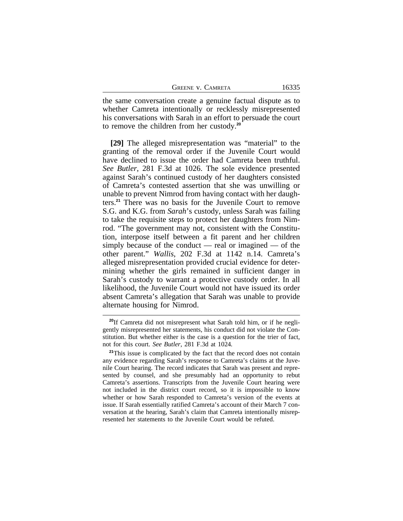| GREENE V. CAMRETA |  |
|-------------------|--|
|                   |  |

the same conversation create a genuine factual dispute as to whether Camreta intentionally or recklessly misrepresented his conversations with Sarah in an effort to persuade the court to remove the children from her custody.**<sup>20</sup>**

**[29]** The alleged misrepresentation was "material" to the granting of the removal order if the Juvenile Court would have declined to issue the order had Camreta been truthful. *See Butler*, 281 F.3d at 1026. The sole evidence presented against Sarah's continued custody of her daughters consisted of Camreta's contested assertion that she was unwilling or unable to prevent Nimrod from having contact with her daughters.**<sup>21</sup>** There was no basis for the Juvenile Court to remove S.G. and K.G. from *Sarah*'s custody, unless Sarah was failing to take the requisite steps to protect her daughters from Nimrod. "The government may not, consistent with the Constitution, interpose itself between a fit parent and her children simply because of the conduct — real or imagined — of the other parent." *Wallis*, 202 F.3d at 1142 n.14. Camreta's alleged misrepresentation provided crucial evidence for determining whether the girls remained in sufficient danger in Sarah's custody to warrant a protective custody order. In all likelihood, the Juvenile Court would not have issued its order absent Camreta's allegation that Sarah was unable to provide alternate housing for Nimrod.

**<sup>20</sup>**If Camreta did not misrepresent what Sarah told him, or if he negligently misrepresented her statements, his conduct did not violate the Constitution. But whether either is the case is a question for the trier of fact, not for this court. *See Butler*, 281 F.3d at 1024*.* 

<sup>&</sup>lt;sup>21</sup>This issue is complicated by the fact that the record does not contain any evidence regarding Sarah's response to Camreta's claims at the Juvenile Court hearing. The record indicates that Sarah was present and represented by counsel, and she presumably had an opportunity to rebut Camreta's assertions. Transcripts from the Juvenile Court hearing were not included in the district court record, so it is impossible to know whether or how Sarah responded to Camreta's version of the events at issue. If Sarah essentially ratified Camreta's account of their March 7 conversation at the hearing, Sarah's claim that Camreta intentionally misrepresented her statements to the Juvenile Court would be refuted.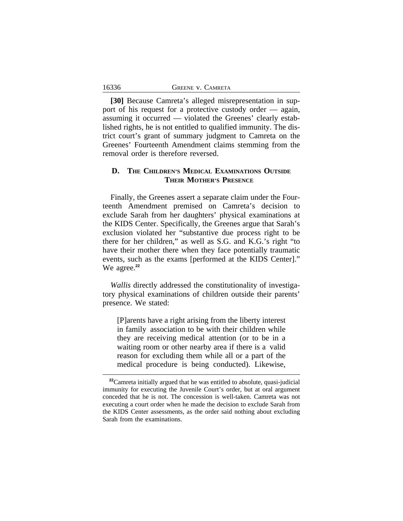16336

**[30]** Because Camreta's alleged misrepresentation in support of his request for a protective custody order — again, assuming it occurred — violated the Greenes' clearly established rights, he is not entitled to qualified immunity. The district court's grant of summary judgment to Camreta on the Greenes' Fourteenth Amendment claims stemming from the removal order is therefore reversed.

# **D. THE CHILDREN'S MEDICAL EXAMINATIONS OUTSIDE THEIR MOTHER'S PRESENCE**

Finally, the Greenes assert a separate claim under the Fourteenth Amendment premised on Camreta's decision to exclude Sarah from her daughters' physical examinations at the KIDS Center. Specifically, the Greenes argue that Sarah's exclusion violated her "substantive due process right to be there for her children," as well as S.G. and K.G.'s right "to have their mother there when they face potentially traumatic events, such as the exams [performed at the KIDS Center]." We agree.<sup>22</sup>

*Wallis* directly addressed the constitutionality of investigatory physical examinations of children outside their parents' presence. We stated:

[P]arents have a right arising from the liberty interest in family association to be with their children while they are receiving medical attention (or to be in a waiting room or other nearby area if there is a valid reason for excluding them while all or a part of the medical procedure is being conducted). Likewise,

**<sup>22</sup>**Camreta initially argued that he was entitled to absolute, quasi-judicial immunity for executing the Juvenile Court's order, but at oral argument conceded that he is not. The concession is well-taken. Camreta was not executing a court order when he made the decision to exclude Sarah from the KIDS Center assessments, as the order said nothing about excluding Sarah from the examinations.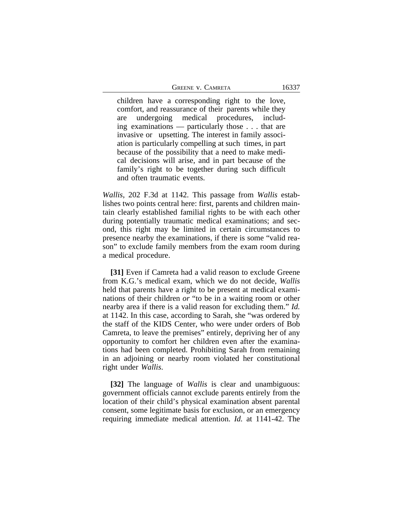GREENE V. CAMRETA 16337

children have a corresponding right to the love, comfort, and reassurance of their parents while they are undergoing medical procedures, including examinations — particularly those . . . that are invasive or upsetting. The interest in family association is particularly compelling at such times, in part because of the possibility that a need to make medical decisions will arise, and in part because of the family's right to be together during such difficult and often traumatic events.

*Wallis*, 202 F.3d at 1142. This passage from *Wallis* establishes two points central here: first, parents and children maintain clearly established familial rights to be with each other during potentially traumatic medical examinations; and second, this right may be limited in certain circumstances to presence nearby the examinations, if there is some "valid reason" to exclude family members from the exam room during a medical procedure.

**[31]** Even if Camreta had a valid reason to exclude Greene from K.G.'s medical exam, which we do not decide, *Wallis* held that parents have a right to be present at medical examinations of their children *or* "to be in a waiting room or other nearby area if there is a valid reason for excluding them." *Id.* at 1142. In this case, according to Sarah, she "was ordered by the staff of the KIDS Center, who were under orders of Bob Camreta, to leave the premises" entirely, depriving her of any opportunity to comfort her children even after the examinations had been completed. Prohibiting Sarah from remaining in an adjoining or nearby room violated her constitutional right under *Wallis*.

**[32]** The language of *Wallis* is clear and unambiguous: government officials cannot exclude parents entirely from the location of their child's physical examination absent parental consent, some legitimate basis for exclusion, or an emergency requiring immediate medical attention. *Id.* at 1141-42. The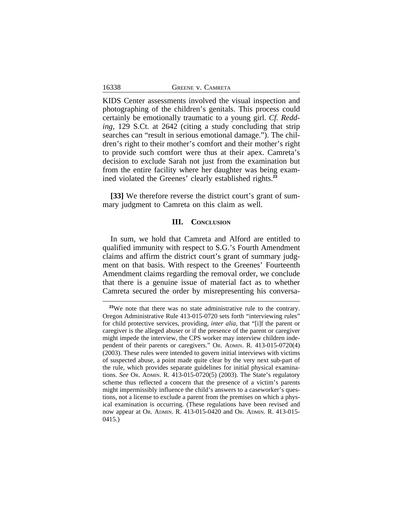KIDS Center assessments involved the visual inspection and photographing of the children's genitals. This process could certainly be emotionally traumatic to a young girl. *Cf. Redding*, 129 S.Ct. at 2642 (citing a study concluding that strip searches can "result in serious emotional damage."). The children's right to their mother's comfort and their mother's right to provide such comfort were thus at their apex. Camreta's decision to exclude Sarah not just from the examination but from the entire facility where her daughter was being examined violated the Greenes' clearly established rights.**<sup>23</sup>**

**[33]** We therefore reverse the district court's grant of summary judgment to Camreta on this claim as well.

#### **III. CONCLUSION**

In sum, we hold that Camreta and Alford are entitled to qualified immunity with respect to S.G.'s Fourth Amendment claims and affirm the district court's grant of summary judgment on that basis. With respect to the Greenes' Fourteenth Amendment claims regarding the removal order, we conclude that there is a genuine issue of material fact as to whether Camreta secured the order by misrepresenting his conversa-

**<sup>23</sup>**We note that there was no state administrative rule to the contrary. Oregon Administrative Rule 413-015-0720 sets forth "interviewing rules" for child protective services, providing, *inter alia*, that "[i]f the parent or caregiver is the alleged abuser or if the presence of the parent or caregiver might impede the interview, the CPS worker may interview children independent of their parents or caregivers." OR. ADMIN. R. 413-015-0720(4) (2003). These rules were intended to govern initial interviews with victims of suspected abuse, a point made quite clear by the very next sub-part of the rule, which provides separate guidelines for initial physical examinations. *See* OR. ADMIN. R. 413-015-0720(5) (2003). The State's regulatory scheme thus reflected a concern that the presence of a victim's parents might impermissibly influence the child's answers to a caseworker's questions, not a license to exclude a parent from the premises on which a physical examination is occurring. (These regulations have been revised and now appear at OR. ADMIN. R. 413-015-0420 and OR. ADMIN. R. 413-015- 0415.)